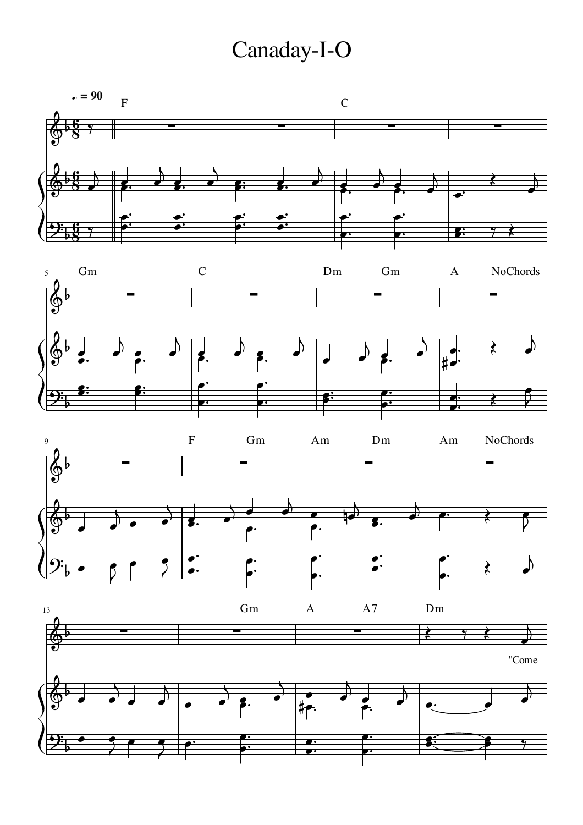#### Canaday-I-O

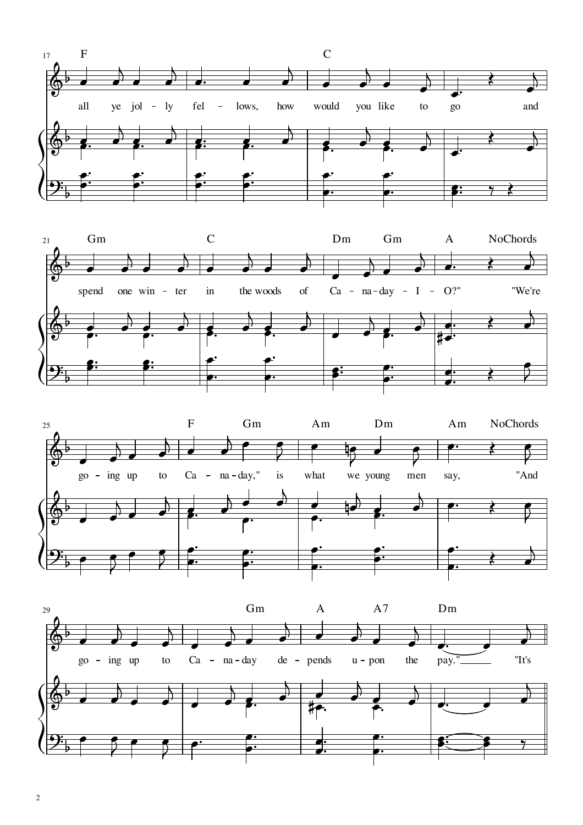





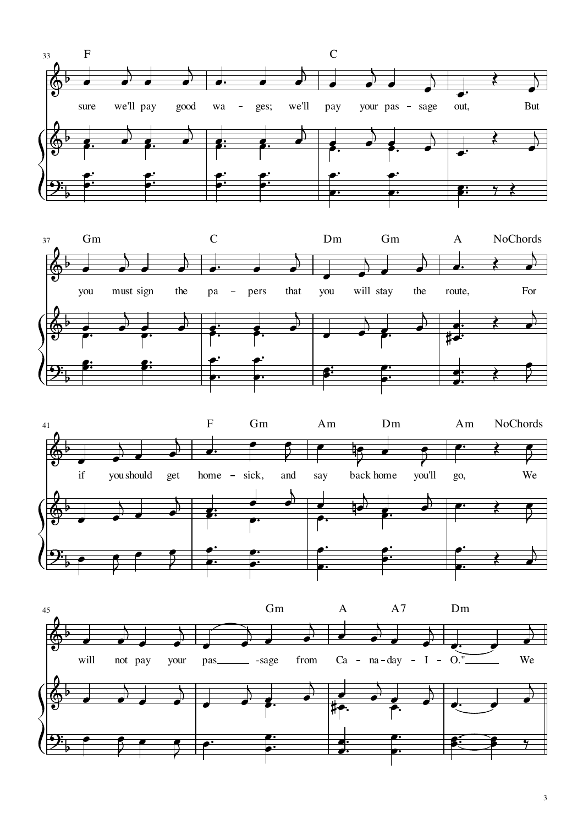





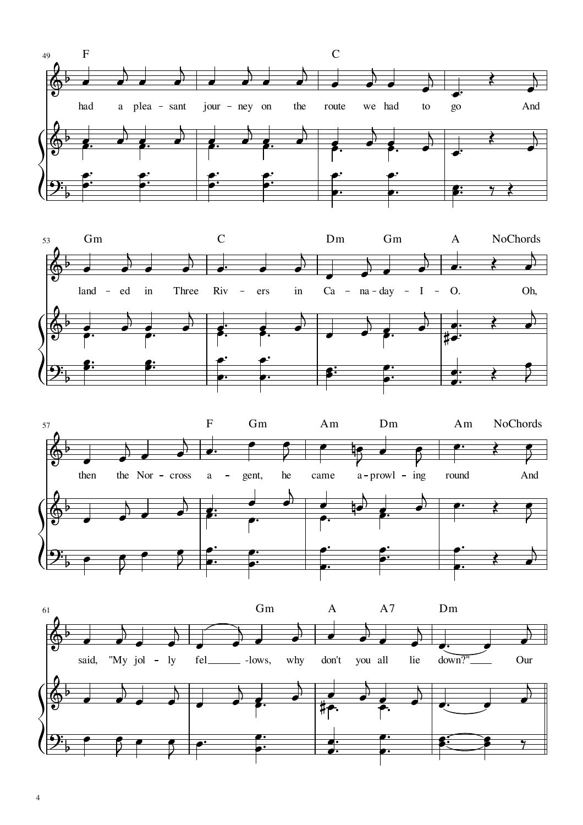





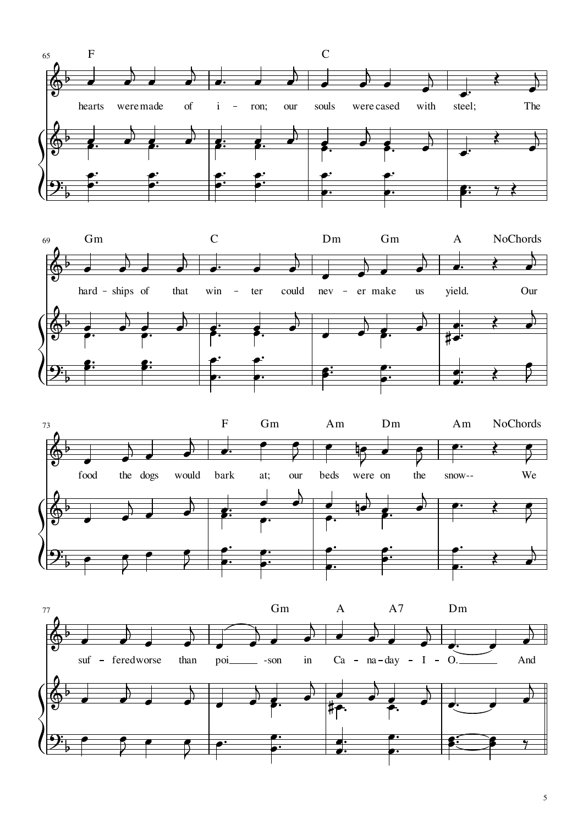





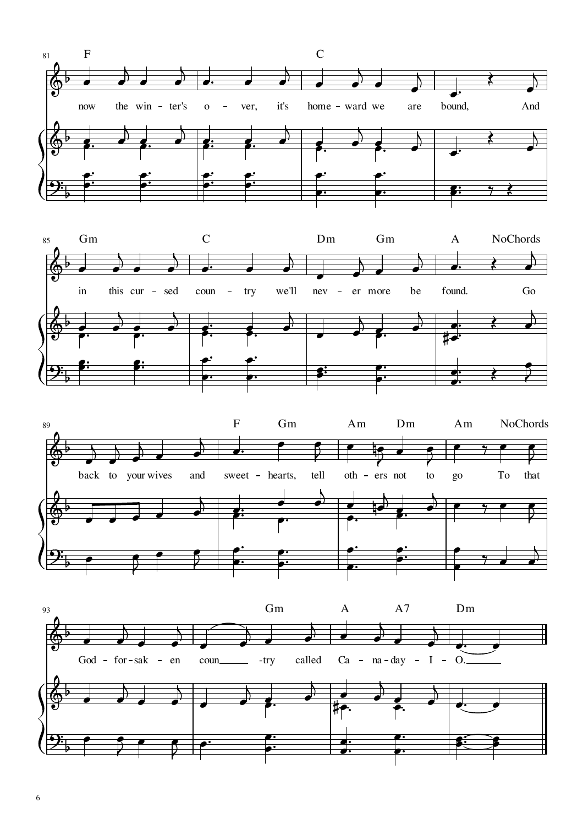





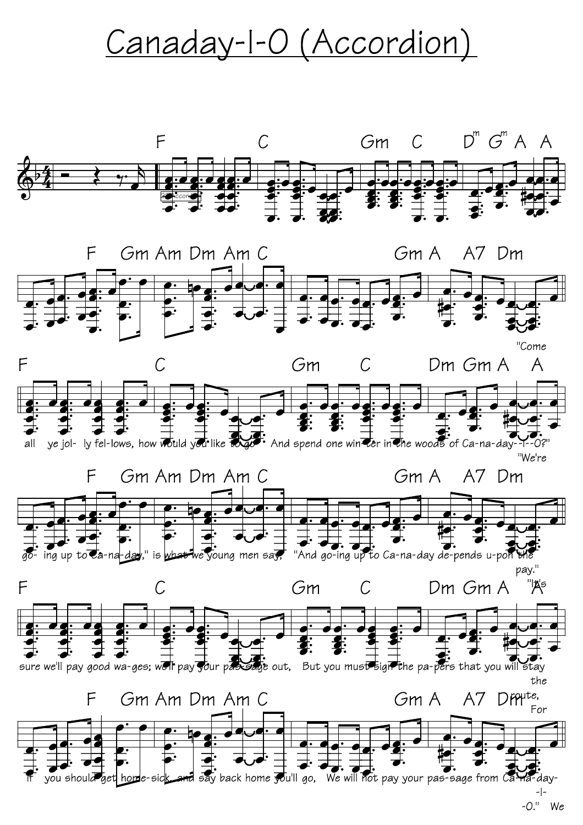### Canaday-I-O (Accordion)



-O." We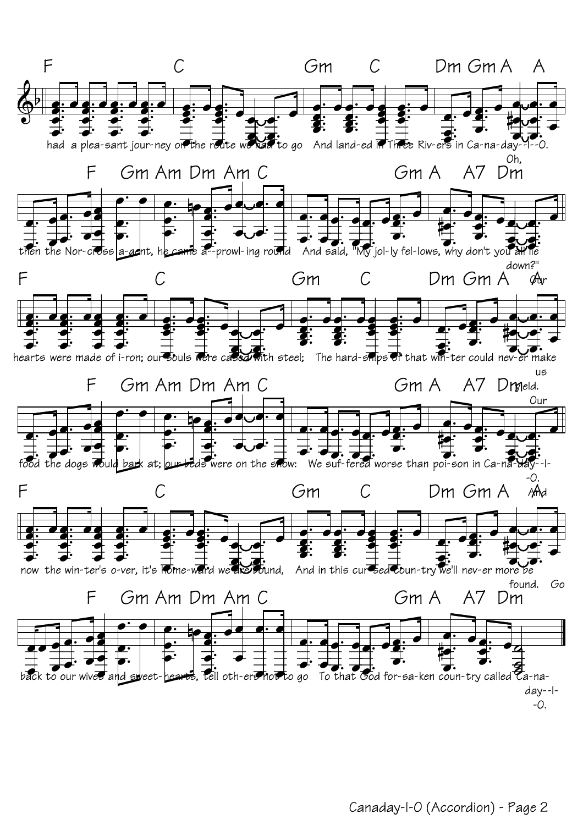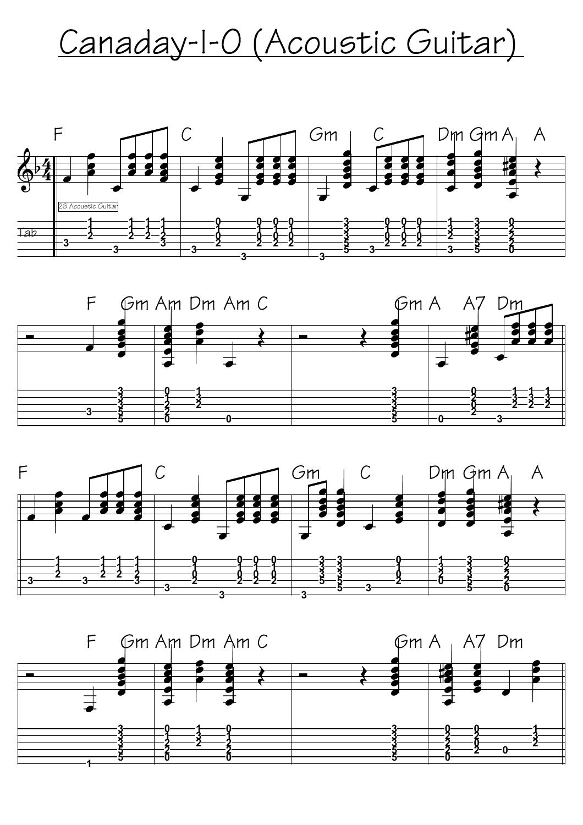## Canaday-I-O (Acoustic Guitar)







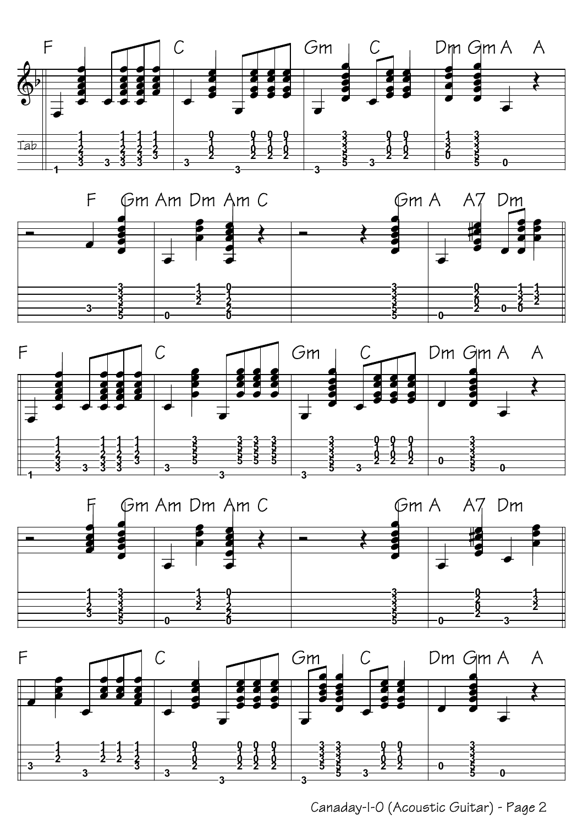









Canaday-I-O (Acoustic Guitar) - Page 2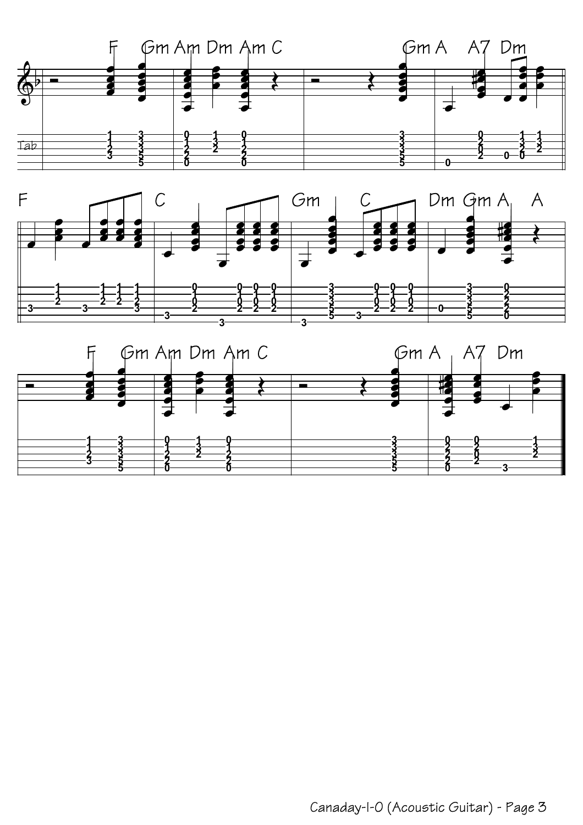



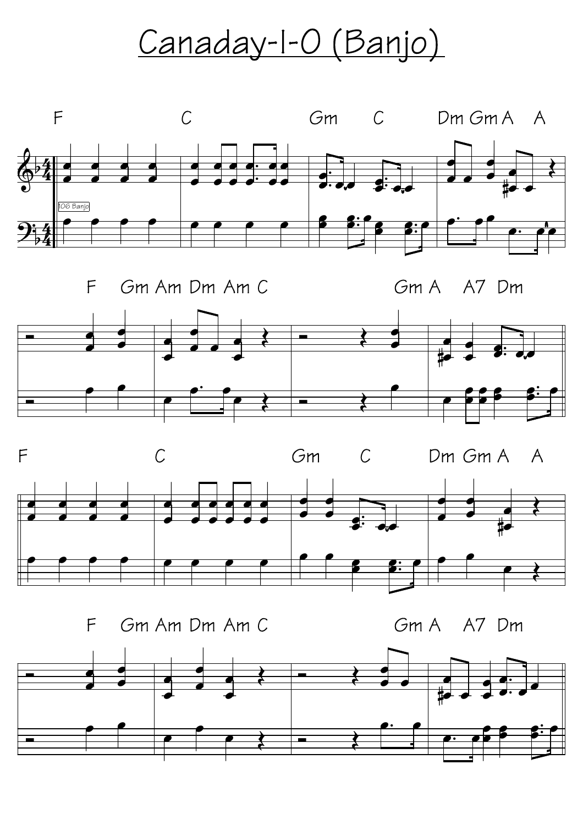# Canaday-I-O (Banjo)







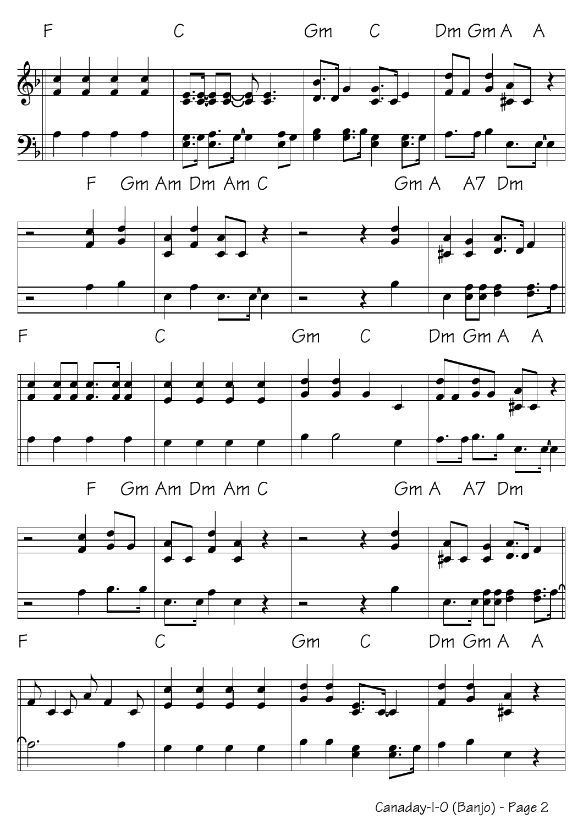





F Gm Am Dm Am C Gm A A7 Dm





Canaday-I-O (Banjo) - Page 2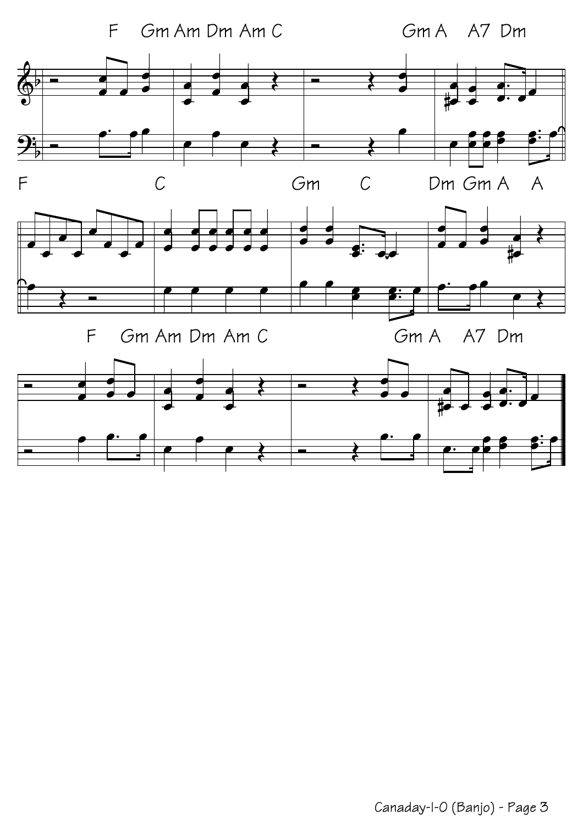





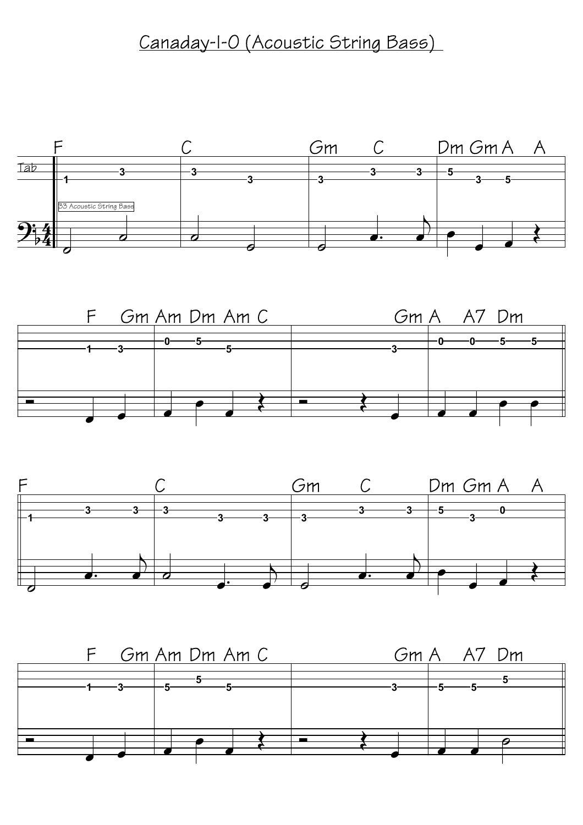#### Canaday-I-O (Acoustic String Bass)







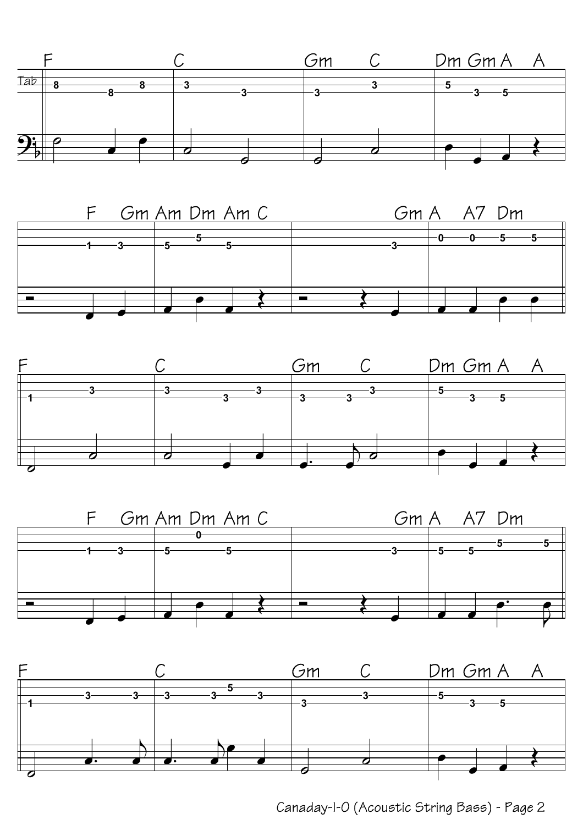









Canaday-I-O (Acoustic String Bass) - Page 2